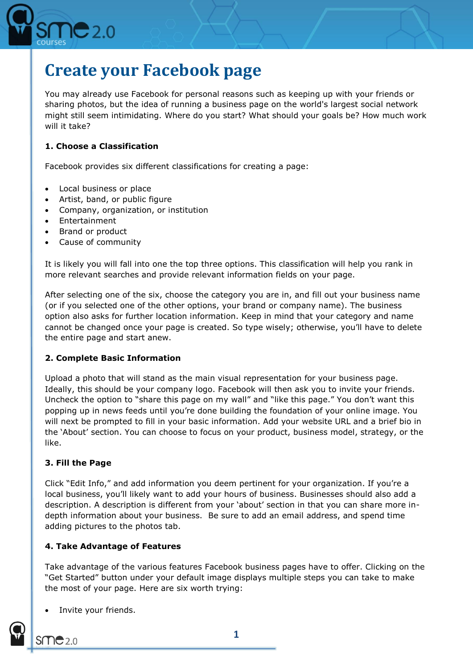

# **Create your Facebook page**

You may already use Facebook for personal reasons such as keeping up with your friends or sharing photos, but the idea of running a business page on the world's largest social network might still seem intimidating. Where do you start? What should your goals be? How much work will it take?

## **1. Choose a Classification**

Facebook provides six different classifications for creating a page:

- Local business or place
- Artist, band, or public figure
- Company, organization, or institution
- Entertainment
- Brand or product
- Cause of community

It is likely you will fall into one the top three options. This classification will help you rank in more relevant searches and provide relevant information fields on your page.

After selecting one of the six, choose the category you are in, and fill out your business name (or if you selected one of the other options, your brand or company name). The business option also asks for further location information. Keep in mind that your category and name cannot be changed once your page is created. So type wisely; otherwise, you'll have to delete the entire page and start anew.

#### **2. Complete Basic Information**

Upload a photo that will stand as the main visual representation for your business page. Ideally, this should be your company logo. Facebook will then ask you to invite your friends. Uncheck the option to "share this page on my wall" and "like this page." You don't want this popping up in news feeds until you're done building the foundation of your online image. You will next be prompted to fill in your basic information. Add your website URL and a brief bio in the 'About' section. You can choose to focus on your product, business model, strategy, or the like.

#### **3. Fill the Page**

Click "Edit Info," and add information you deem pertinent for your organization. If you're a local business, you'll likely want to add your hours of business. Businesses should also add a description. A description is different from your 'about' section in that you can share more indepth information about your business. Be sure to add an email address, and spend time adding pictures to the photos tab.

#### **4. Take Advantage of Features**

Take advantage of the various features Facebook business pages have to offer. Clicking on the "Get Started" button under your default image displays multiple steps you can take to make the most of your page. Here are six worth trying:

Invite your friends.